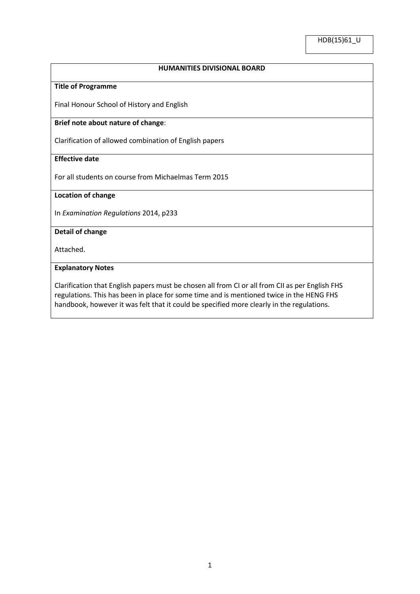# **HUMANITIES DIVISIONAL BOARD**

## **Title of Programme**

Final Honour School of History and English

#### **Brief note about nature of change**:

Clarification of allowed combination of English papers

# **Effective date**

For all students on course from Michaelmas Term 2015

#### **Location of change**

In *Examination Regulations* 2014, p233

# **Detail of change**

Attached.

## **Explanatory Notes**

Clarification that English papers must be chosen all from CI or all from CII as per English FHS regulations. This has been in place for some time and is mentioned twice in the HENG FHS handbook, however it was felt that it could be specified more clearly in the regulations.